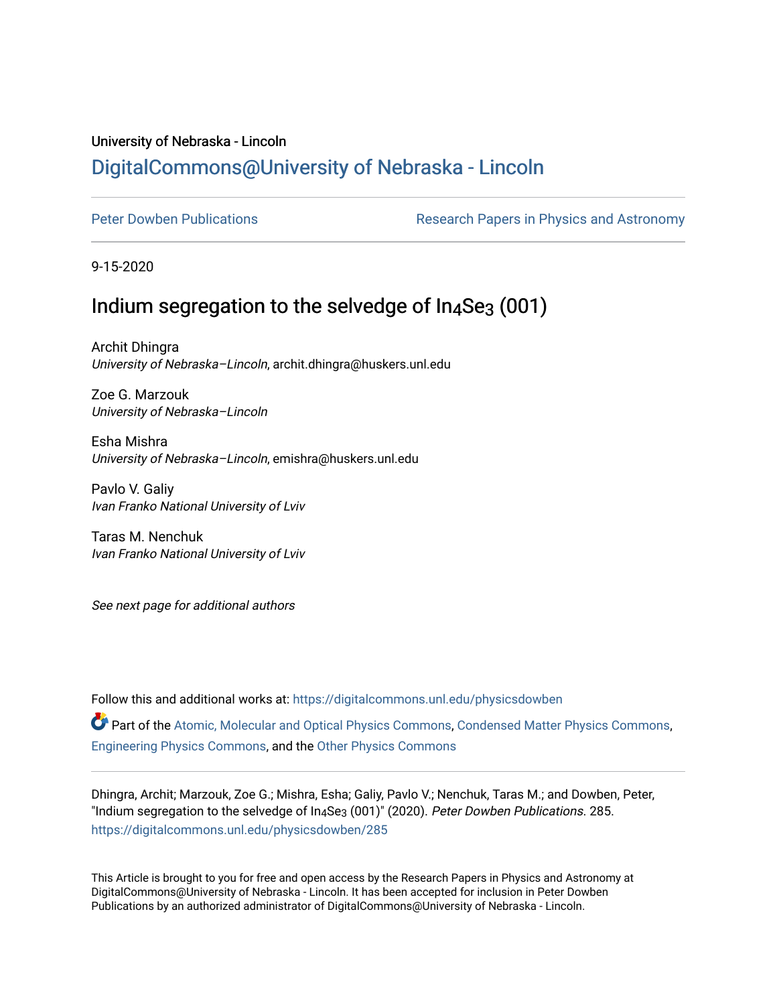# University of Nebraska - Lincoln [DigitalCommons@University of Nebraska - Lincoln](https://digitalcommons.unl.edu/)

[Peter Dowben Publications](https://digitalcommons.unl.edu/physicsdowben) **Research Papers in Physics and Astronomy** 

9-15-2020

# Indium segregation to the selvedge of  $In_4$ Se<sub>3</sub> (001)

Archit Dhingra University of Nebraska–Lincoln, archit.dhingra@huskers.unl.edu

Zoe G. Marzouk University of Nebraska–Lincoln

Esha Mishra University of Nebraska–Lincoln, emishra@huskers.unl.edu

Pavlo V. Galiy Ivan Franko National University of Lviv

Taras M. Nenchuk Ivan Franko National University of Lviv

See next page for additional authors

Follow this and additional works at: [https://digitalcommons.unl.edu/physicsdowben](https://digitalcommons.unl.edu/physicsdowben?utm_source=digitalcommons.unl.edu%2Fphysicsdowben%2F285&utm_medium=PDF&utm_campaign=PDFCoverPages) 

Part of the [Atomic, Molecular and Optical Physics Commons,](http://network.bepress.com/hgg/discipline/195?utm_source=digitalcommons.unl.edu%2Fphysicsdowben%2F285&utm_medium=PDF&utm_campaign=PDFCoverPages) [Condensed Matter Physics Commons](http://network.bepress.com/hgg/discipline/197?utm_source=digitalcommons.unl.edu%2Fphysicsdowben%2F285&utm_medium=PDF&utm_campaign=PDFCoverPages), [Engineering Physics Commons,](http://network.bepress.com/hgg/discipline/200?utm_source=digitalcommons.unl.edu%2Fphysicsdowben%2F285&utm_medium=PDF&utm_campaign=PDFCoverPages) and the [Other Physics Commons](http://network.bepress.com/hgg/discipline/207?utm_source=digitalcommons.unl.edu%2Fphysicsdowben%2F285&utm_medium=PDF&utm_campaign=PDFCoverPages) 

Dhingra, Archit; Marzouk, Zoe G.; Mishra, Esha; Galiy, Pavlo V.; Nenchuk, Taras M.; and Dowben, Peter, "Indium segregation to the selvedge of In4Se3 (001)" (2020). Peter Dowben Publications. 285. [https://digitalcommons.unl.edu/physicsdowben/285](https://digitalcommons.unl.edu/physicsdowben/285?utm_source=digitalcommons.unl.edu%2Fphysicsdowben%2F285&utm_medium=PDF&utm_campaign=PDFCoverPages) 

This Article is brought to you for free and open access by the Research Papers in Physics and Astronomy at DigitalCommons@University of Nebraska - Lincoln. It has been accepted for inclusion in Peter Dowben Publications by an authorized administrator of DigitalCommons@University of Nebraska - Lincoln.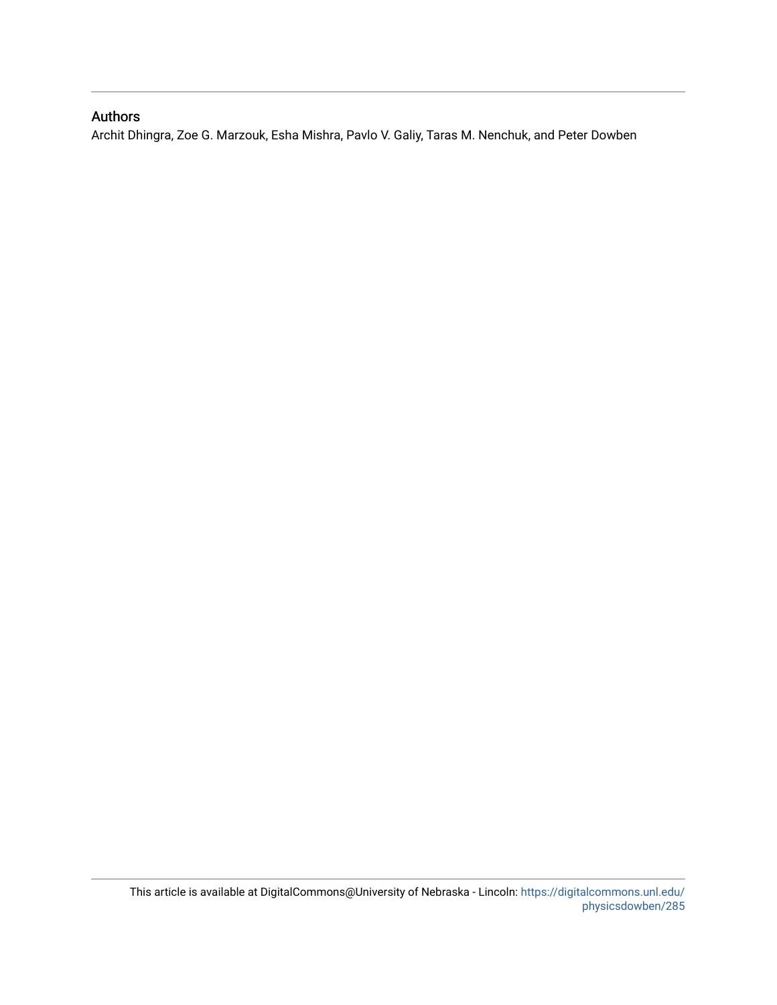## Authors

Archit Dhingra, Zoe G. Marzouk, Esha Mishra, Pavlo V. Galiy, Taras M. Nenchuk, and Peter Dowben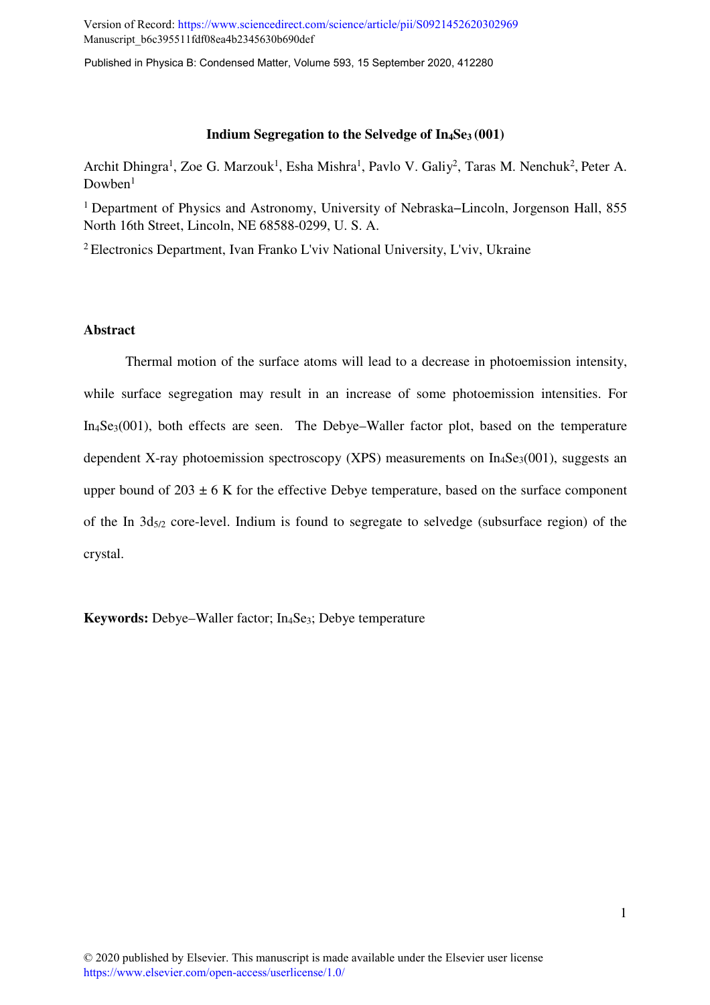Version of Record:<https://www.sciencedirect.com/science/article/pii/S0921452620302969> Manuscript\_b6c395511fdf08ea4b2345630b690def

Published in Physica B: Condensed Matter, Volume 593, 15 September 2020, 412280

#### **Indium Segregation to the Selvedge of In4Se3 (001)**

Archit Dhingra<sup>1</sup>, Zoe G. Marzouk<sup>1</sup>, Esha Mishra<sup>1</sup>, Pavlo V. Galiy<sup>2</sup>, Taras M. Nenchuk<sup>2</sup>, Peter A.  $Downen<sup>1</sup>$ 

<sup>1</sup>Department of Physics and Astronomy, University of Nebraska−Lincoln, Jorgenson Hall, 855 North 16th Street, Lincoln, NE 68588-0299, U. S. A.

<sup>2</sup>Electronics Department, Ivan Franko L'viv National University, L'viv, Ukraine

### **Abstract**

 Thermal motion of the surface atoms will lead to a decrease in photoemission intensity, while surface segregation may result in an increase of some photoemission intensities. For In4Se3(001), both effects are seen. The Debye–Waller factor plot, based on the temperature dependent X-ray photoemission spectroscopy (XPS) measurements on  $In_4Se_3(001)$ , suggests an upper bound of  $203 \pm 6$  K for the effective Debye temperature, based on the surface component of the In  $3d_{5/2}$  core-level. Indium is found to segregate to selvedge (subsurface region) of the crystal.

**Keywords:** Debye–Waller factor; In4Se3; Debye temperature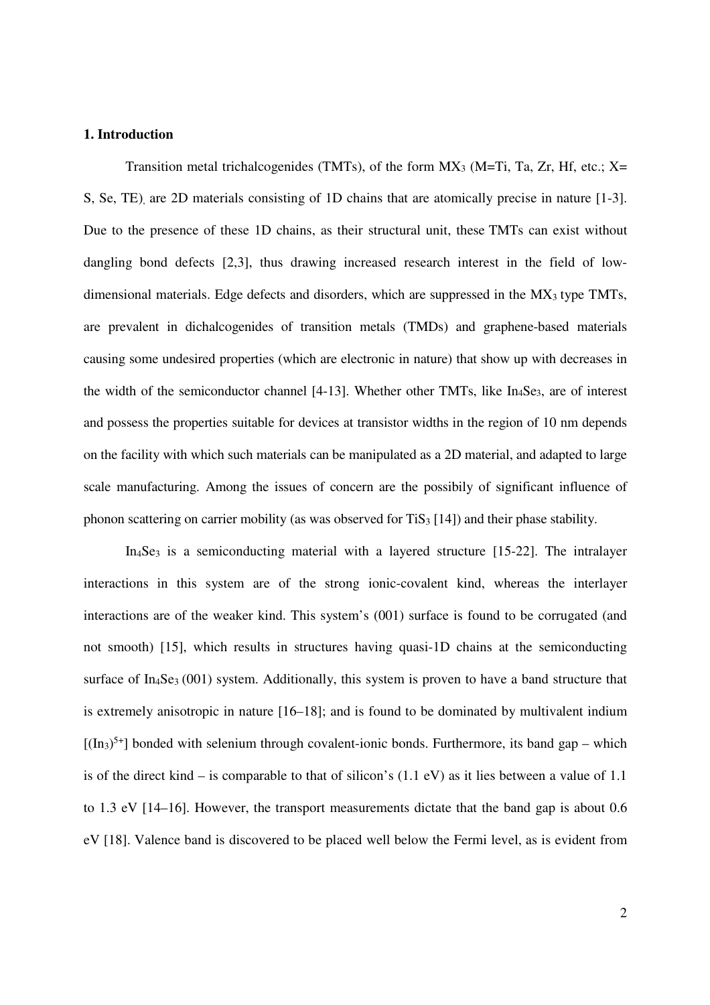### **1. Introduction**

Transition metal trichalcogenides (TMTs), of the form  $MX_3$  (M=Ti, Ta, Zr, Hf, etc.; X= S, Se, TE), are 2D materials consisting of 1D chains that are atomically precise in nature [1-3]. Due to the presence of these 1D chains, as their structural unit, these TMTs can exist without dangling bond defects [2,3], thus drawing increased research interest in the field of lowdimensional materials. Edge defects and disorders, which are suppressed in the MX3 type TMTs, are prevalent in dichalcogenides of transition metals (TMDs) and graphene-based materials causing some undesired properties (which are electronic in nature) that show up with decreases in the width of the semiconductor channel  $[4-13]$ . Whether other TMTs, like  $In_4$ Se<sub>3</sub>, are of interest and possess the properties suitable for devices at transistor widths in the region of 10 nm depends on the facility with which such materials can be manipulated as a 2D material, and adapted to large scale manufacturing. Among the issues of concern are the possibily of significant influence of phonon scattering on carrier mobility (as was observed for  $T_iS_3$  [14]) and their phase stability.

 $In_4Se_3$  is a semiconducting material with a layered structure [15-22]. The intralayer interactions in this system are of the strong ionic-covalent kind, whereas the interlayer interactions are of the weaker kind. This system's (001) surface is found to be corrugated (and not smooth) [15], which results in structures having quasi-1D chains at the semiconducting surface of  $In_4$ Se<sub>3</sub> (001) system. Additionally, this system is proven to have a band structure that is extremely anisotropic in nature [16–18]; and is found to be dominated by multivalent indium  $[(\text{In}_3)^{5+}]$  bonded with selenium through covalent-ionic bonds. Furthermore, its band gap – which is of the direct kind – is comparable to that of silicon's (1.1 eV) as it lies between a value of 1.1 to 1.3 eV [14–16]. However, the transport measurements dictate that the band gap is about 0.6 eV [18]. Valence band is discovered to be placed well below the Fermi level, as is evident from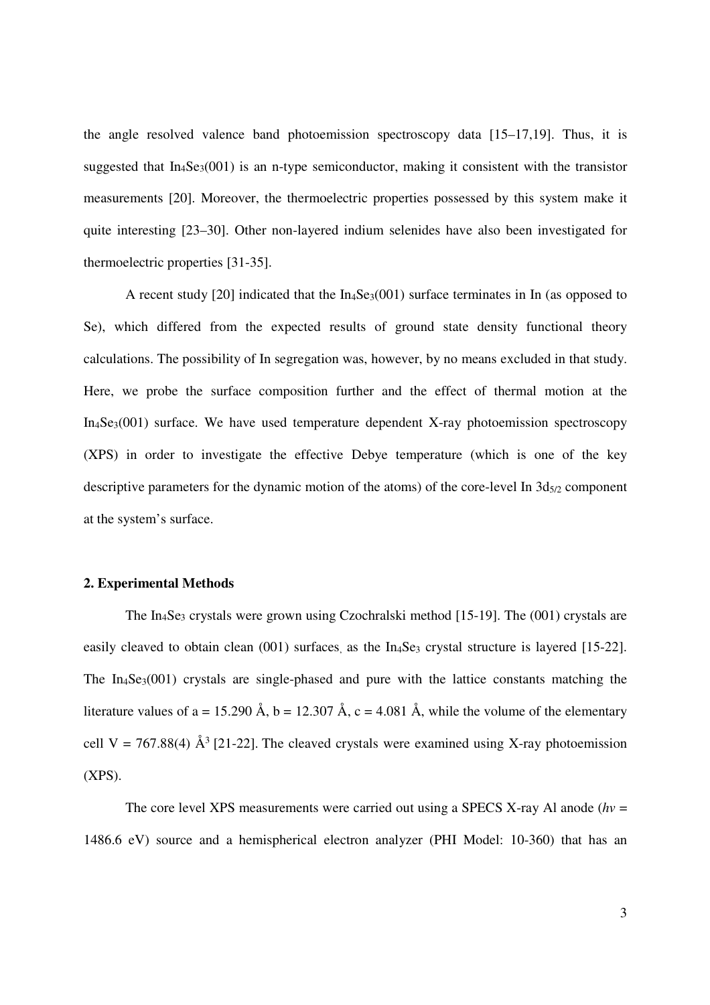the angle resolved valence band photoemission spectroscopy data [15–17,19]. Thus, it is suggested that  $In_4Se_3(001)$  is an n-type semiconductor, making it consistent with the transistor measurements [20]. Moreover, the thermoelectric properties possessed by this system make it quite interesting [23–30]. Other non-layered indium selenides have also been investigated for thermoelectric properties [31-35].

A recent study [20] indicated that the In4Se3(001) surface terminates in In (as opposed to Se), which differed from the expected results of ground state density functional theory calculations. The possibility of In segregation was, however, by no means excluded in that study. Here, we probe the surface composition further and the effect of thermal motion at the  $In_4Se_3(001)$  surface. We have used temperature dependent X-ray photoemission spectroscopy (XPS) in order to investigate the effective Debye temperature (which is one of the key descriptive parameters for the dynamic motion of the atoms) of the core-level In  $3d_{5/2}$  component at the system's surface.

### **2. Experimental Methods**

The In<sub>4</sub>Se<sub>3</sub> crystals were grown using Czochralski method [15-19]. The  $(001)$  crystals are easily cleaved to obtain clean (001) surfaces, as the In<sub>4</sub>Se<sub>3</sub> crystal structure is layered [15-22]. The  $In_4Se_3(001)$  crystals are single-phased and pure with the lattice constants matching the literature values of a = 15.290 Å, b = 12.307 Å, c = 4.081 Å, while the volume of the elementary cell V = 767.88(4)  $\AA^3$  [21-22]. The cleaved crystals were examined using X-ray photoemission (XPS).

The core level XPS measurements were carried out using a SPECS X-ray Al anode  $(hv =$ 1486.6 eV) source and a hemispherical electron analyzer (PHI Model: 10-360) that has an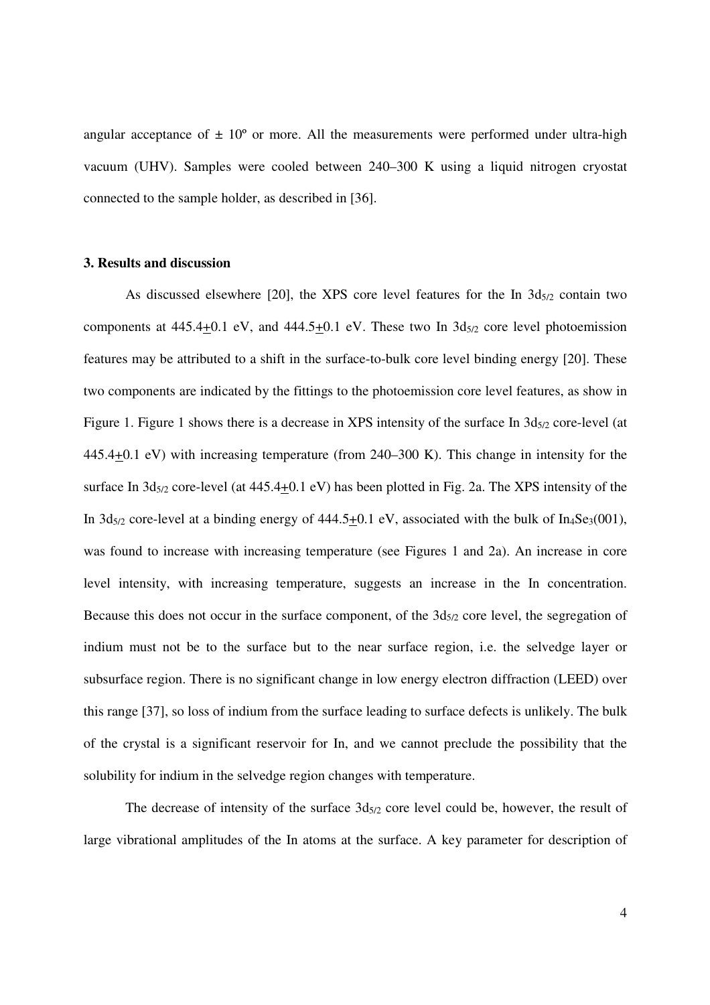angular acceptance of  $\pm 10^{\circ}$  or more. All the measurements were performed under ultra-high vacuum (UHV). Samples were cooled between 240–300 K using a liquid nitrogen cryostat connected to the sample holder, as described in [36].

#### **3. Results and discussion**

As discussed elsewhere  $[20]$ , the XPS core level features for the In  $3d_{5/2}$  contain two components at  $445.4+0.1$  eV, and  $444.5+0.1$  eV. These two In  $3d_{5/2}$  core level photoemission features may be attributed to a shift in the surface-to-bulk core level binding energy [20]. These two components are indicated by the fittings to the photoemission core level features, as show in Figure 1. Figure 1 shows there is a decrease in XPS intensity of the surface In  $3d_{5/2}$  core-level (at 445.4+0.1 eV) with increasing temperature (from 240–300 K). This change in intensity for the surface In  $3d_{5/2}$  core-level (at  $445.4+0.1$  eV) has been plotted in Fig. 2a. The XPS intensity of the In  $3d_{5/2}$  core-level at a binding energy of  $444.5+0.1$  eV, associated with the bulk of In<sub>4</sub>Se<sub>3</sub>(001), was found to increase with increasing temperature (see Figures 1 and 2a). An increase in core level intensity, with increasing temperature, suggests an increase in the In concentration. Because this does not occur in the surface component, of the  $3d_{5/2}$  core level, the segregation of indium must not be to the surface but to the near surface region, i.e. the selvedge layer or subsurface region. There is no significant change in low energy electron diffraction (LEED) over this range [37], so loss of indium from the surface leading to surface defects is unlikely. The bulk of the crystal is a significant reservoir for In, and we cannot preclude the possibility that the solubility for indium in the selvedge region changes with temperature.

The decrease of intensity of the surface  $3d_{5/2}$  core level could be, however, the result of large vibrational amplitudes of the In atoms at the surface. A key parameter for description of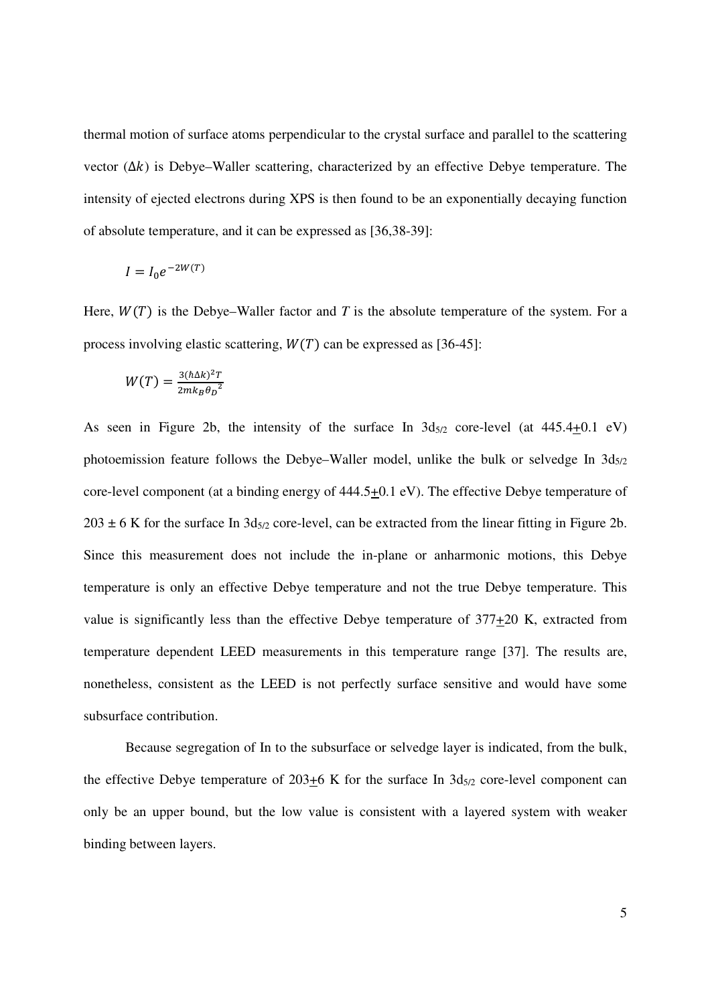thermal motion of surface atoms perpendicular to the crystal surface and parallel to the scattering vector  $(\Delta k)$  is Debye–Waller scattering, characterized by an effective Debye temperature. The intensity of ejected electrons during XPS is then found to be an exponentially decaying function of absolute temperature, and it can be expressed as [36,38-39]:

$$
I = I_0 e^{-2W(T)}
$$

Here,  $W(T)$  is the Debye–Waller factor and T is the absolute temperature of the system. For a process involving elastic scattering,  $W(T)$  can be expressed as [36-45]:

$$
W(T) = \frac{3(\hbar \Delta k)^2 T}{2mk_B \theta_D^2}
$$

As seen in Figure 2b, the intensity of the surface In  $3d_{5/2}$  core-level (at  $445.4+0.1$  eV) photoemission feature follows the Debye–Waller model, unlike the bulk or selvedge In  $3d_{5/2}$ core-level component (at a binding energy of 444.5+0.1 eV). The effective Debye temperature of  $203 \pm 6$  K for the surface In  $3d_{5/2}$  core-level, can be extracted from the linear fitting in Figure 2b. Since this measurement does not include the in-plane or anharmonic motions, this Debye temperature is only an effective Debye temperature and not the true Debye temperature. This value is significantly less than the effective Debye temperature of  $377+20$  K, extracted from temperature dependent LEED measurements in this temperature range [37]. The results are, nonetheless, consistent as the LEED is not perfectly surface sensitive and would have some subsurface contribution.

 Because segregation of In to the subsurface or selvedge layer is indicated, from the bulk, the effective Debye temperature of 203+6 K for the surface In  $3d_{5/2}$  core-level component can only be an upper bound, but the low value is consistent with a layered system with weaker binding between layers.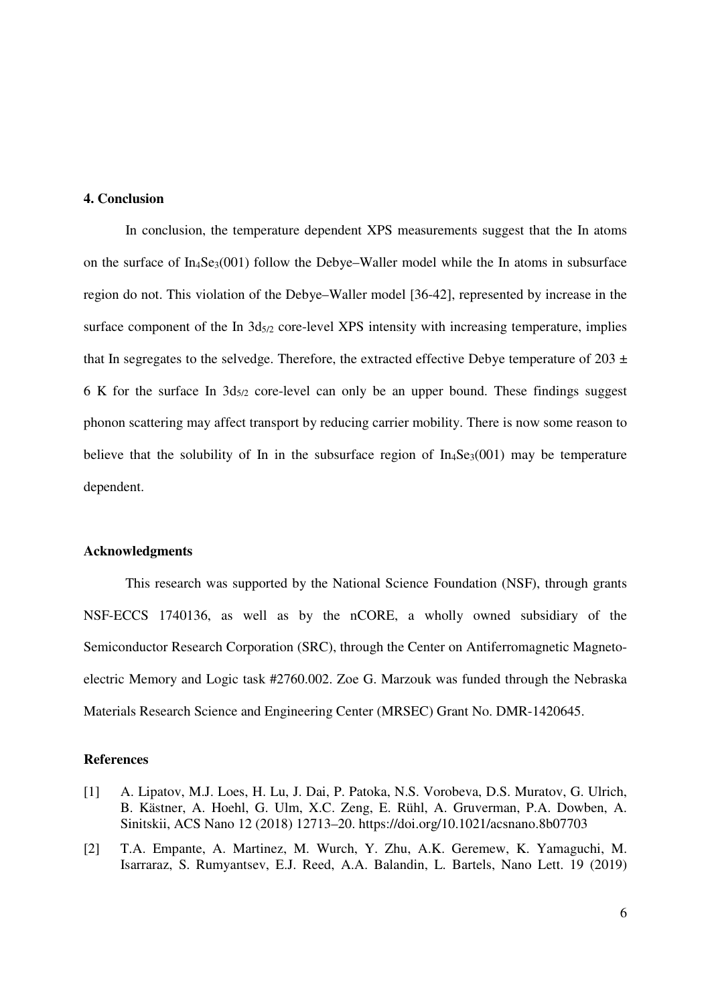#### **4. Conclusion**

In conclusion, the temperature dependent XPS measurements suggest that the In atoms on the surface of  $In_4Se_3(001)$  follow the Debye–Waller model while the In atoms in subsurface region do not. This violation of the Debye–Waller model [36-42], represented by increase in the surface component of the In  $3d_{5/2}$  core-level XPS intensity with increasing temperature, implies that In segregates to the selvedge. Therefore, the extracted effective Debye temperature of 203  $\pm$ 6 K for the surface In  $3d_{5/2}$  core-level can only be an upper bound. These findings suggest phonon scattering may affect transport by reducing carrier mobility. There is now some reason to believe that the solubility of In in the subsurface region of  $In_4Se_3(001)$  may be temperature dependent.

## **Acknowledgments**

This research was supported by the National Science Foundation (NSF), through grants NSF-ECCS 1740136, as well as by the nCORE, a wholly owned subsidiary of the Semiconductor Research Corporation (SRC), through the Center on Antiferromagnetic Magnetoelectric Memory and Logic task #2760.002. Zoe G. Marzouk was funded through the Nebraska Materials Research Science and Engineering Center (MRSEC) Grant No. DMR-1420645.

#### **References**

- [1] A. Lipatov, M.J. Loes, H. Lu, J. Dai, P. Patoka, N.S. Vorobeva, D.S. Muratov, G. Ulrich, B. Kästner, A. Hoehl, G. Ulm, X.C. Zeng, E. Rühl, A. Gruverman, P.A. Dowben, A. Sinitskii, ACS Nano 12 (2018) 12713–20. https://doi.org/10.1021/acsnano.8b07703
- [2] T.A. Empante, A. Martinez, M. Wurch, Y. Zhu, A.K. Geremew, K. Yamaguchi, M. Isarraraz, S. Rumyantsev, E.J. Reed, A.A. Balandin, L. Bartels, Nano Lett. 19 (2019)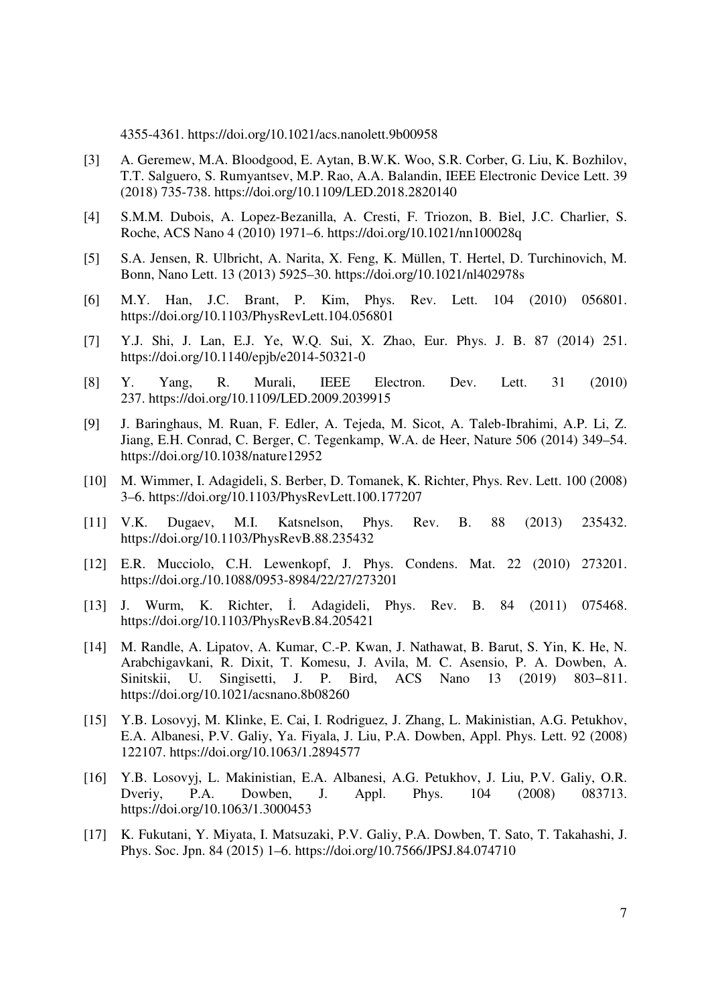4355-4361. https://doi.org/10.1021/acs.nanolett.9b00958

- [3] A. Geremew, M.A. Bloodgood, E. Aytan, B.W.K. Woo, S.R. Corber, G. Liu, K. Bozhilov, T.T. Salguero, S. Rumyantsev, M.P. Rao, A.A. Balandin, IEEE Electronic Device Lett. 39 (2018) 735-738. https://doi.org/10.1109/LED.2018.2820140
- [4] S.M.M. Dubois, A. Lopez-Bezanilla, A. Cresti, F. Triozon, B. Biel, J.C. Charlier, S. Roche, ACS Nano 4 (2010) 1971–6. https://doi.org/10.1021/nn100028q
- [5] S.A. Jensen, R. Ulbricht, A. Narita, X. Feng, K. Müllen, T. Hertel, D. Turchinovich, M. Bonn, Nano Lett. 13 (2013) 5925–30. https://doi.org/10.1021/nl402978s
- [6] M.Y. Han, J.C. Brant, P. Kim, Phys. Rev. Lett. 104 (2010) 056801. https://doi.org/10.1103/PhysRevLett.104.056801
- [7] Y.J. Shi, J. Lan, E.J. Ye, W.Q. Sui, X. Zhao, Eur. Phys. J. B. 87 (2014) 251. https://doi.org/10.1140/epjb/e2014-50321-0
- [8] Y. Yang, R. Murali, IEEE Electron. Dev. Lett. 31 (2010) 237. https://doi.org/10.1109/LED.2009.2039915
- [9] J. Baringhaus, M. Ruan, F. Edler, A. Tejeda, M. Sicot, A. Taleb-Ibrahimi, A.P. Li, Z. Jiang, E.H. Conrad, C. Berger, C. Tegenkamp, W.A. de Heer, Nature 506 (2014) 349–54. https://doi.org/10.1038/nature12952
- [10] M. Wimmer, I. Adagideli, S. Berber, D. Tomanek, K. Richter, Phys. Rev. Lett. 100 (2008) 3–6. https://doi.org/10.1103/PhysRevLett.100.177207
- [11] V.K. Dugaev, M.I. Katsnelson, Phys. Rev. B. 88 (2013) 235432. https://doi.org/10.1103/PhysRevB.88.235432
- [12] E.R. Mucciolo, C.H. Lewenkopf, J. Phys. Condens. Mat. 22 (2010) 273201. https://doi.org./10.1088/0953-8984/22/27/273201
- [13] J. Wurm, K. Richter, İ. Adagideli, Phys. Rev. B. 84 (2011) 075468. https://doi.org/10.1103/PhysRevB.84.205421
- [14] M. Randle, A. Lipatov, A. Kumar, C.-P. Kwan, J. Nathawat, B. Barut, S. Yin, K. He, N. Arabchigavkani, R. Dixit, T. Komesu, J. Avila, M. C. Asensio, P. A. Dowben, A. Sinitskii, U. Singisetti, J. P. Bird, ACS Nano 13 (2019) 803−811. https://doi.org/10.1021/acsnano.8b08260
- [15] Y.B. Losovyj, M. Klinke, E. Cai, I. Rodriguez, J. Zhang, L. Makinistian, A.G. Petukhov, E.A. Albanesi, P.V. Galiy, Ya. Fiyala, J. Liu, P.A. Dowben, Appl. Phys. Lett. 92 (2008) 122107. https://doi.org/10.1063/1.2894577
- [16] Y.B. Losovyj, L. Makinistian, E.A. Albanesi, A.G. Petukhov, J. Liu, P.V. Galiy, O.R. Dveriy, P.A. Dowben, J. Appl. Phys. 104 (2008) 083713. https://doi.org/10.1063/1.3000453
- [17] K. Fukutani, Y. Miyata, I. Matsuzaki, P.V. Galiy, P.A. Dowben, T. Sato, T. Takahashi, J. Phys. Soc. Jpn. 84 (2015) 1–6. https://doi.org/10.7566/JPSJ.84.074710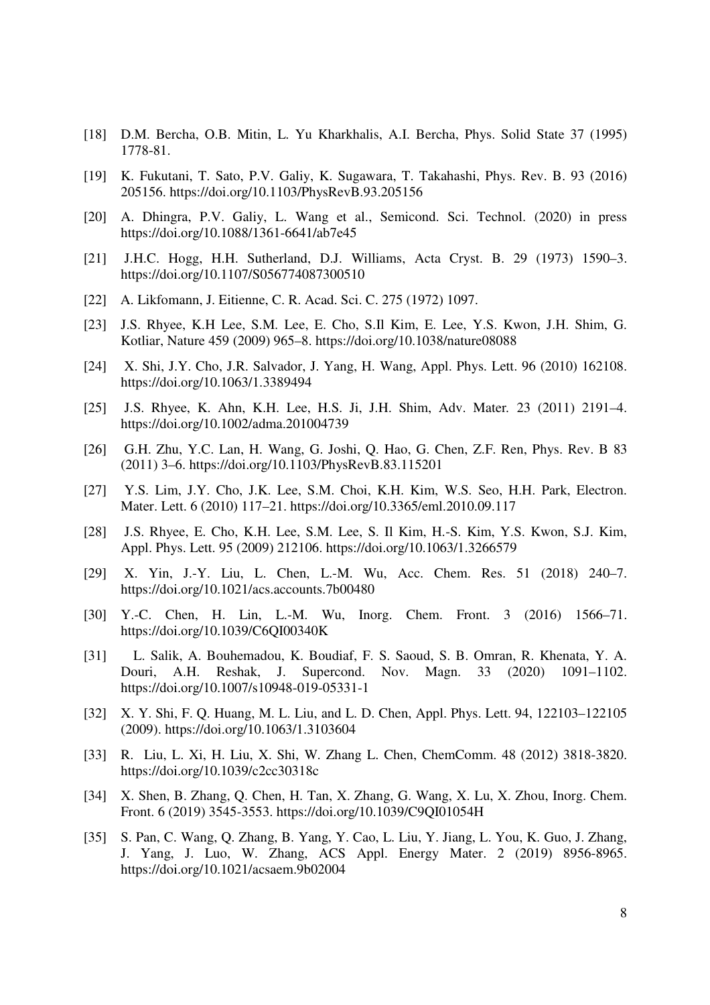- [18] D.M. Bercha, O.B. Mitin, L. Yu Kharkhalis, A.I. Bercha, Phys. Solid State 37 (1995) 1778-81.
- [19] K. Fukutani, T. Sato, P.V. Galiy, K. Sugawara, T. Takahashi, Phys. Rev. B. 93 (2016) 205156. https://doi.org/10.1103/PhysRevB.93.205156
- [20] A. Dhingra, P.V. Galiy, L. Wang et al., Semicond. Sci. Technol. (2020) in press https://doi.org/10.1088/1361-6641/ab7e45
- [21] J.H.C. Hogg, H.H. Sutherland, D.J. Williams, Acta Cryst. B. 29 (1973) 1590–3. https://doi.org/10.1107/S056774087300510
- [22] A. Likfomann, J. Eitienne, C. R. Acad. Sci. C. 275 (1972) 1097.
- [23] J.S. Rhyee, K.H Lee, S.M. Lee, E. Cho, S.Il Kim, E. Lee, Y.S. Kwon, J.H. Shim, G. Kotliar, Nature 459 (2009) 965–8. https://doi.org/10.1038/nature08088
- [24] X. Shi, J.Y. Cho, J.R. Salvador, J. Yang, H. Wang, Appl. Phys. Lett. 96 (2010) 162108. https://doi.org/10.1063/1.3389494
- [25] J.S. Rhyee, K. Ahn, K.H. Lee, H.S. Ji, J.H. Shim, Adv. Mater*.* 23 (2011) 2191–4. https://doi.org/10.1002/adma.201004739
- [26] G.H. Zhu, Y.C. Lan, H. Wang, G. Joshi, Q. Hao, G. Chen, Z.F. Ren, Phys. Rev. B 83 (2011) 3–6. https://doi.org/10.1103/PhysRevB.83.115201
- [27] Y.S. Lim, J.Y. Cho, J.K. Lee, S.M. Choi, K.H. Kim, W.S. Seo, H.H. Park, Electron. Mater. Lett. 6 (2010) 117–21. https://doi.org/10.3365/eml.2010.09.117
- [28] J.S. Rhyee, E. Cho, K.H. Lee, S.M. Lee, S. Il Kim, H.-S. Kim, Y.S. Kwon, S.J. Kim, Appl. Phys. Lett. 95 (2009) 212106. https://doi.org/10.1063/1.3266579
- [29] X. Yin, J.-Y. Liu, L. Chen, L.-M. Wu, Acc. Chem. Res. 51 (2018) 240–7. https://doi.org/10.1021/acs.accounts.7b00480
- [30] Y.-C. Chen, H. Lin, L.-M. Wu, Inorg. Chem. Front. 3 (2016) 1566–71. https://doi.org/10.1039/C6QI00340K
- [31] L. Salik, A. Bouhemadou, K. Boudiaf, F. S. Saoud, S. B. Omran, R. Khenata, Y. A. Douri, A.H. Reshak, J. Supercond. Nov. Magn. 33 (2020) 1091–1102. https://doi.org/10.1007/s10948-019-05331-1
- [32] X. Y. Shi, F. Q. Huang, M. L. Liu, and L. D. Chen, Appl. Phys. Lett. 94, 122103–122105 (2009). https://doi.org/10.1063/1.3103604
- [33] R. Liu, L. Xi, H. Liu, X. Shi, W. Zhang L. Chen, ChemComm. 48 (2012) 3818-3820. https://doi.org/10.1039/c2cc30318c
- [34] X. Shen, B. Zhang, Q. Chen, H. Tan, X. Zhang, G. Wang, X. Lu, X. Zhou, Inorg. Chem. Front. 6 (2019) 3545-3553. https://doi.org/10.1039/C9QI01054H
- [35] S. Pan, C. Wang, Q. Zhang, B. Yang, Y. Cao, L. Liu, Y. Jiang, L. You, K. Guo, J. Zhang, J. Yang, J. Luo, W. Zhang, ACS Appl. Energy Mater. 2 (2019) 8956-8965. https://doi.org/10.1021/acsaem.9b02004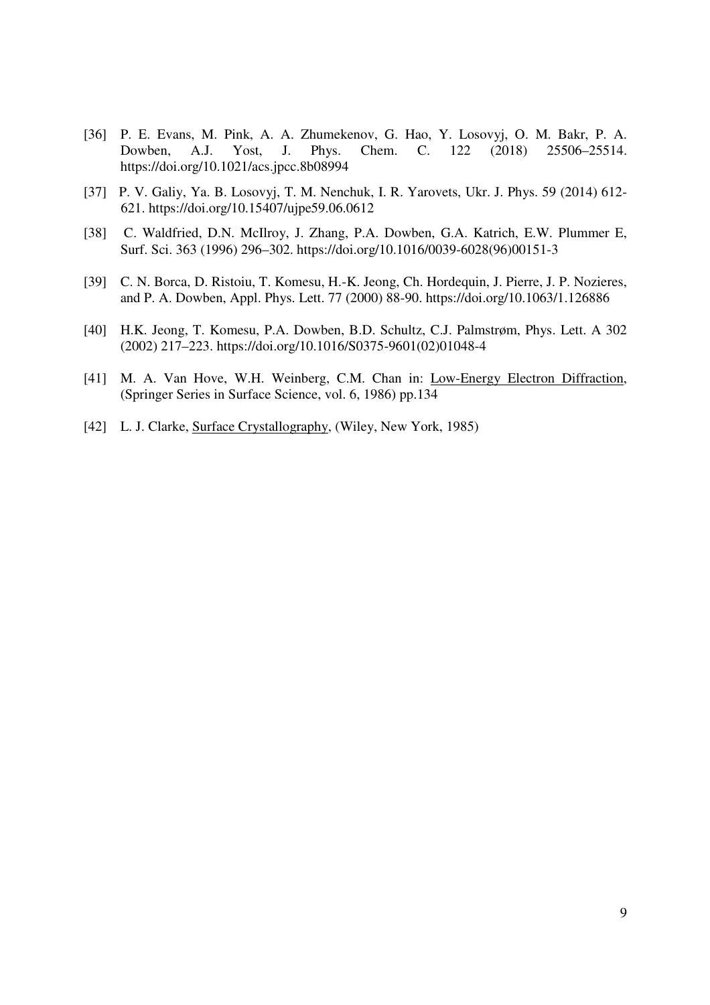- [36] P. E. Evans, M. Pink, A. A. Zhumekenov, G. Hao, Y. Losovyj, O. M. Bakr, P. A. Dowben, A.J. Yost, J. Phys. Chem. C. 122 (2018) 25506–25514. https://doi.org/10.1021/acs.jpcc.8b08994
- [37] P. V. Galiy, Ya. B. Losovyj, T. M. Nenchuk, I. R. Yarovets, Ukr. J. Phys. 59 (2014) 612- 621. https://doi.org/10.15407/ujpe59.06.0612
- [38] C. Waldfried, D.N. McIlroy, J. Zhang, P.A. Dowben, G.A. Katrich, E.W. Plummer E, Surf. Sci. 363 (1996) 296–302. https://doi.org/10.1016/0039-6028(96)00151-3
- [39] C. N. Borca, D. Ristoiu, T. Komesu, H.-K. Jeong, Ch. Hordequin, J. Pierre, J. P. Nozieres, and P. A. Dowben, Appl. Phys. Lett. 77 (2000) 88-90. https://doi.org/10.1063/1.126886
- [40] H.K. Jeong, T. Komesu, P.A. Dowben, B.D. Schultz, C.J. Palmstrøm, Phys. Lett. A 302 (2002) 217–223. https://doi.org/10.1016/S0375-9601(02)01048-4
- [41] M. A. Van Hove, W.H. Weinberg, C.M. Chan in: Low-Energy Electron Diffraction, (Springer Series in Surface Science, vol. 6, 1986) pp.134
- [42] L. J. Clarke, Surface Crystallography, (Wiley, New York, 1985)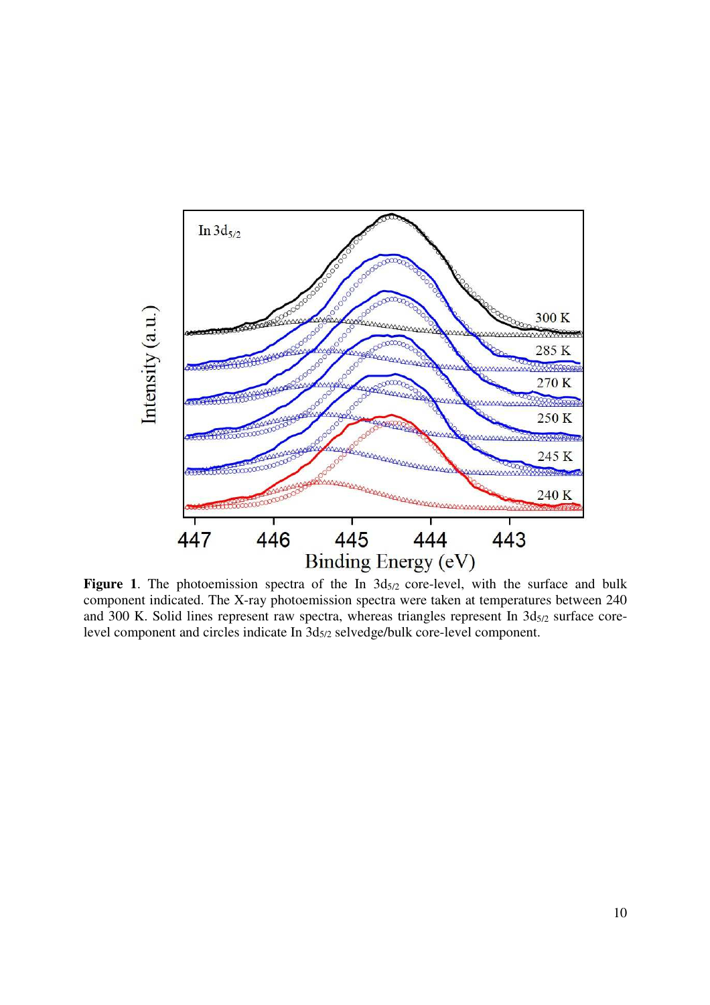

Figure 1. The photoemission spectra of the In  $3d_{5/2}$  core-level, with the surface and bulk component indicated. The X-ray photoemission spectra were taken at temperatures between 240 and 300 K. Solid lines represent raw spectra, whereas triangles represent In  $3d_{5/2}$  surface corelevel component and circles indicate In 3d5/2 selvedge/bulk core-level component.